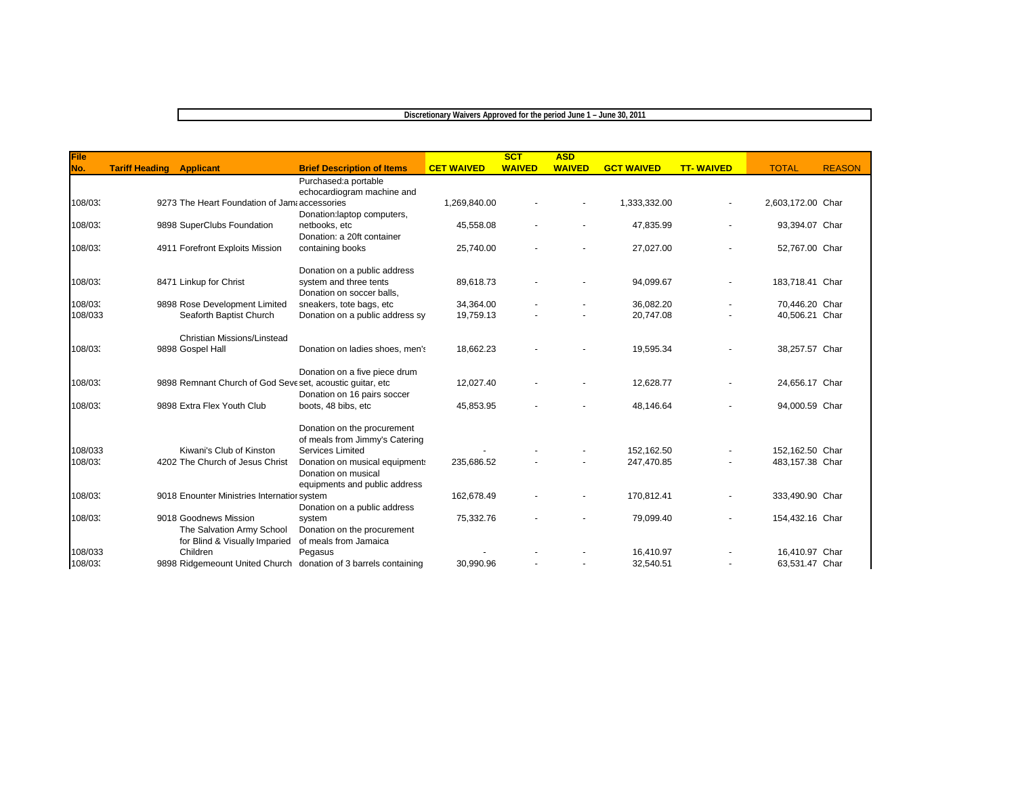## **Discretionary Waivers Approved for the period June 1 – June 30, 2011**

| File    |                                                                 |                                   |                   | SCT           | <b>ASD</b>    |                   |                  |                   |               |
|---------|-----------------------------------------------------------------|-----------------------------------|-------------------|---------------|---------------|-------------------|------------------|-------------------|---------------|
| No.     | <b>Tariff Heading</b><br><b>Applicant</b>                       | <b>Brief Description of Items</b> | <b>CET WAIVED</b> | <b>WAIVED</b> | <b>WAIVED</b> | <b>GCT WAIVED</b> | <b>TT-WAIVED</b> | <b>TOTAL</b>      | <b>REASON</b> |
|         |                                                                 | Purchased:a portable              |                   |               |               |                   |                  |                   |               |
|         |                                                                 | echocardiogram machine and        |                   |               |               |                   |                  |                   |               |
| 108/03  | 9273 The Heart Foundation of Jama accessories                   |                                   | 1,269,840.00      |               |               | 1,333,332.00      |                  | 2,603,172.00 Char |               |
|         |                                                                 | Donation:laptop computers,        |                   |               |               |                   |                  |                   |               |
| 108/03. | 9898 SuperClubs Foundation                                      | netbooks, etc                     | 45,558.08         |               |               | 47,835.99         |                  | 93,394.07 Char    |               |
|         |                                                                 | Donation: a 20ft container        |                   |               |               |                   |                  |                   |               |
| 108/03  | 4911 Forefront Exploits Mission                                 | containing books                  | 25,740.00         |               |               | 27,027.00         |                  | 52,767.00 Char    |               |
|         |                                                                 | Donation on a public address      |                   |               |               |                   |                  |                   |               |
| 108/03  | 8471 Linkup for Christ                                          | system and three tents            | 89,618.73         |               |               | 94,099.67         |                  | 183,718.41 Char   |               |
|         |                                                                 | Donation on soccer balls,         |                   |               |               |                   |                  |                   |               |
| 108/03  | 9898 Rose Development Limited                                   | sneakers, tote bags, etc          | 34,364.00         |               |               | 36,082.20         |                  | 70,446.20 Char    |               |
| 108/033 | Seaforth Baptist Church                                         | Donation on a public address sy   | 19,759.13         |               |               | 20,747.08         |                  | 40,506.21 Char    |               |
|         | Christian Missions/Linstead                                     |                                   |                   |               |               |                   |                  |                   |               |
| 108/03  | 9898 Gospel Hall                                                | Donation on ladies shoes, men's   | 18,662.23         |               |               | 19,595.34         |                  | 38,257.57 Char    |               |
|         |                                                                 | Donation on a five piece drum     |                   |               |               |                   |                  |                   |               |
| 108/03  | 9898 Remnant Church of God Seve set, acoustic guitar, etc       |                                   | 12,027.40         |               |               | 12,628.77         |                  | 24,656.17 Char    |               |
|         |                                                                 | Donation on 16 pairs soccer       |                   |               |               |                   |                  |                   |               |
| 108/03  | 9898 Extra Flex Youth Club                                      | boots, 48 bibs, etc               | 45,853.95         |               |               | 48,146.64         |                  | 94,000.59 Char    |               |
|         |                                                                 | Donation on the procurement       |                   |               |               |                   |                  |                   |               |
|         |                                                                 | of meals from Jimmy's Catering    |                   |               |               |                   |                  |                   |               |
| 108/033 | Kiwani's Club of Kinston                                        | Services Limited                  |                   |               |               | 152.162.50        |                  | 152.162.50 Char   |               |
| 108/03  | 4202 The Church of Jesus Christ                                 | Donation on musical equipment:    | 235,686.52        |               |               | 247,470.85        |                  | 483,157.38 Char   |               |
|         |                                                                 | Donation on musical               |                   |               |               |                   |                  |                   |               |
|         |                                                                 | equipments and public address     |                   |               |               |                   |                  |                   |               |
| 108/03  | 9018 Enounter Ministries Internatior system                     |                                   | 162,678.49        |               |               | 170,812.41        |                  | 333,490.90 Char   |               |
|         |                                                                 | Donation on a public address      |                   |               |               |                   |                  |                   |               |
| 108/03  | 9018 Goodnews Mission                                           | system                            | 75,332.76         |               |               | 79,099.40         |                  | 154,432.16 Char   |               |
|         | The Salvation Army School                                       | Donation on the procurement       |                   |               |               |                   |                  |                   |               |
|         | for Blind & Visually Imparied                                   | of meals from Jamaica             |                   |               |               |                   |                  |                   |               |
| 108/033 | Children                                                        | Pegasus                           |                   |               |               | 16,410.97         |                  | 16,410.97 Char    |               |
| 108/03  | 9898 Ridgemeount United Church donation of 3 barrels containing |                                   | 30.990.96         |               |               | 32.540.51         |                  | 63,531.47 Char    |               |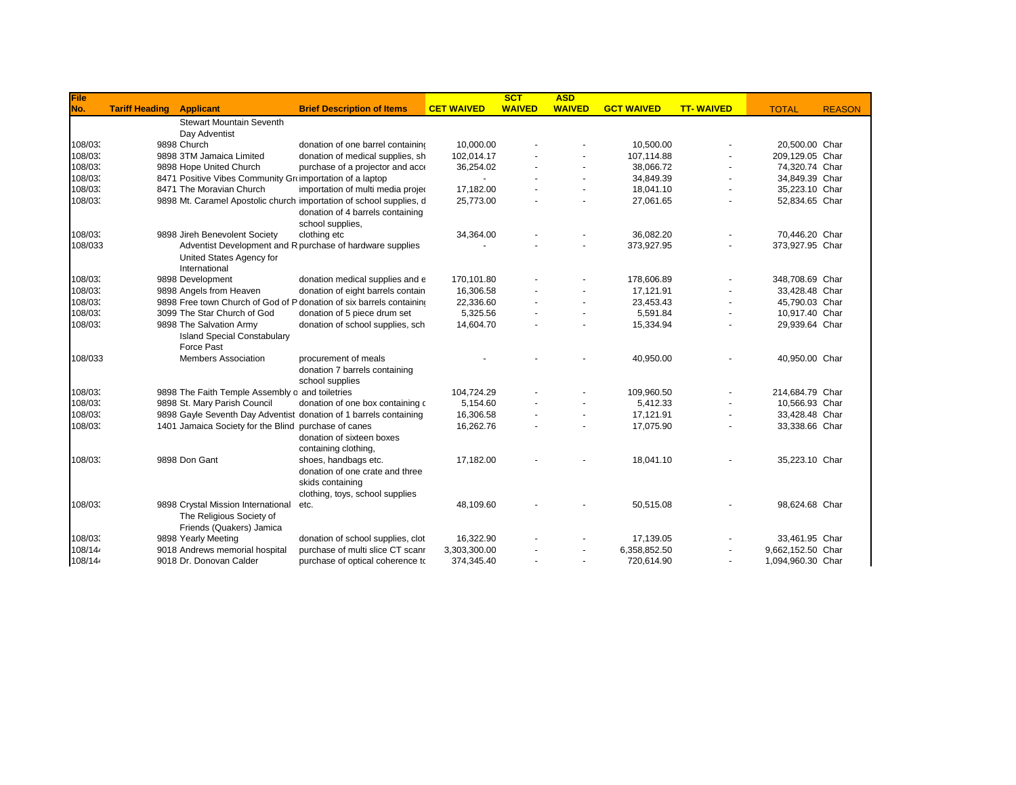| File    |                       |                                                          |                                                                      |                   | SCT           | <b>ASD</b>     |                   |                  |                   |               |
|---------|-----------------------|----------------------------------------------------------|----------------------------------------------------------------------|-------------------|---------------|----------------|-------------------|------------------|-------------------|---------------|
| No.     | <b>Tariff Heading</b> | <b>Applicant</b>                                         | <b>Brief Description of Items</b>                                    | <b>CET WAIVED</b> | <b>WAIVED</b> | <b>WAIVED</b>  | <b>GCT WAIVED</b> | <b>TT-WAIVED</b> | <b>TOTAL</b>      | <b>REASON</b> |
|         |                       | <b>Stewart Mountain Seventh</b>                          |                                                                      |                   |               |                |                   |                  |                   |               |
|         |                       | Day Adventist                                            |                                                                      |                   |               |                |                   |                  |                   |               |
| 108/03  |                       | 9898 Church                                              | donation of one barrel containing                                    | 10,000.00         |               |                | 10,500.00         |                  | 20,500.00 Char    |               |
| 108/03  |                       | 9898 3TM Jamaica Limited                                 | donation of medical supplies, sh                                     | 102,014.17        |               |                | 107,114.88        |                  | 209,129.05 Char   |               |
| 108/03  |                       | 9898 Hope United Church                                  | purchase of a projector and acco                                     | 36,254.02         |               |                | 38,066.72         |                  | 74,320.74 Char    |               |
| 108/03  |                       | 8471 Positive Vibes Community Groimportation of a laptop |                                                                      |                   |               | $\sim$         | 34,849.39         |                  | 34,849.39 Char    |               |
| 108/03  |                       | 8471 The Moravian Church                                 | importation of multi media project                                   | 17,182.00         |               | $\overline{a}$ | 18,041.10         |                  | 35,223.10 Char    |               |
| 108/03  |                       |                                                          | 9898 Mt. Caramel Apostolic church importation of school supplies, c  | 25,773.00         |               | $\blacksquare$ | 27,061.65         |                  | 52,834.65 Char    |               |
|         |                       |                                                          | donation of 4 barrels containing                                     |                   |               |                |                   |                  |                   |               |
|         |                       |                                                          | school supplies,                                                     |                   |               |                |                   |                  |                   |               |
| 108/03  |                       | 9898 Jireh Benevolent Society                            | clothing etc                                                         | 34,364.00         |               |                | 36,082.20         |                  | 70,446.20 Char    |               |
| 108/033 |                       |                                                          | Adventist Development and R purchase of hardware supplies            |                   |               |                | 373,927.95        |                  | 373,927.95 Char   |               |
|         |                       | United States Agency for                                 |                                                                      |                   |               |                |                   |                  |                   |               |
|         |                       | International                                            |                                                                      |                   |               |                |                   |                  |                   |               |
| 108/03  |                       | 9898 Development                                         | donation medical supplies and $\epsilon$                             | 170.101.80        |               |                | 178,606.89        |                  | 348,708.69 Char   |               |
| 108/03  |                       | 9898 Angels from Heaven                                  | donation of eight barrels contain                                    | 16.306.58         |               | $\blacksquare$ | 17.121.91         |                  | 33.428.48 Char    |               |
| 108/03  |                       |                                                          | 9898 Free town Church of God of P donation of six barrels containing | 22,336.60         |               | $\sim$         | 23,453.43         |                  | 45,790.03 Char    |               |
| 108/03  |                       | 3099 The Star Church of God                              | donation of 5 piece drum set                                         | 5,325.56          |               |                | 5,591.84          |                  | 10,917.40 Char    |               |
| 108/03  |                       | 9898 The Salvation Army                                  | donation of school supplies, sch                                     | 14,604.70         |               |                | 15,334.94         |                  | 29,939.64 Char    |               |
|         |                       | <b>Island Special Constabulary</b>                       |                                                                      |                   |               |                |                   |                  |                   |               |
|         |                       | Force Past                                               |                                                                      |                   |               |                |                   |                  |                   |               |
| 108/033 |                       | <b>Members Association</b>                               | procurement of meals                                                 |                   |               |                | 40,950.00         |                  | 40,950.00 Char    |               |
|         |                       |                                                          | donation 7 barrels containing                                        |                   |               |                |                   |                  |                   |               |
|         |                       |                                                          | school supplies                                                      |                   |               |                |                   |                  |                   |               |
| 108/03  |                       | 9898 The Faith Temple Assembly o and toiletries          |                                                                      | 104,724.29        |               |                | 109,960.50        |                  | 214,684.79 Char   |               |
| 108/03  |                       | 9898 St. Mary Parish Council                             | donation of one box containing o                                     | 5,154.60          |               |                | 5,412.33          |                  | 10,566.93 Char    |               |
| 108/03  |                       |                                                          | 9898 Gayle Seventh Day Adventist donation of 1 barrels containing    | 16,306.58         |               |                | 17,121.91         |                  | 33,428.48 Char    |               |
| 108/03  |                       | 1401 Jamaica Society for the Blind purchase of canes     |                                                                      | 16,262.76         |               | $\blacksquare$ | 17,075.90         |                  | 33,338.66 Char    |               |
|         |                       |                                                          | donation of sixteen boxes                                            |                   |               |                |                   |                  |                   |               |
|         |                       |                                                          | containing clothing,                                                 |                   |               |                |                   |                  |                   |               |
| 108/03  |                       | 9898 Don Gant                                            | shoes, handbags etc.                                                 | 17,182.00         |               |                | 18,041.10         |                  | 35,223.10 Char    |               |
|         |                       |                                                          | donation of one crate and three                                      |                   |               |                |                   |                  |                   |               |
|         |                       |                                                          | skids containing                                                     |                   |               |                |                   |                  |                   |               |
|         |                       |                                                          | clothing, toys, school supplies                                      |                   |               |                |                   |                  |                   |               |
| 108/03  |                       | 9898 Crystal Mission International                       | etc.                                                                 | 48,109.60         |               |                | 50,515.08         |                  | 98,624.68 Char    |               |
|         |                       | The Religious Society of                                 |                                                                      |                   |               |                |                   |                  |                   |               |
|         |                       | Friends (Quakers) Jamica                                 |                                                                      |                   |               |                |                   |                  |                   |               |
| 108/03  |                       | 9898 Yearly Meeting                                      | donation of school supplies, clot                                    | 16,322.90         |               |                | 17,139.05         |                  | 33,461.95 Char    |               |
| 108/14  |                       | 9018 Andrews memorial hospital                           | purchase of multi slice CT scanr                                     | 3,303,300.00      |               |                | 6,358,852.50      |                  | 9,662,152.50 Char |               |
| 108/14  |                       | 9018 Dr. Donovan Calder                                  | purchase of optical coherence to                                     | 374.345.40        |               | ٠              | 720,614.90        |                  | 1,094,960.30 Char |               |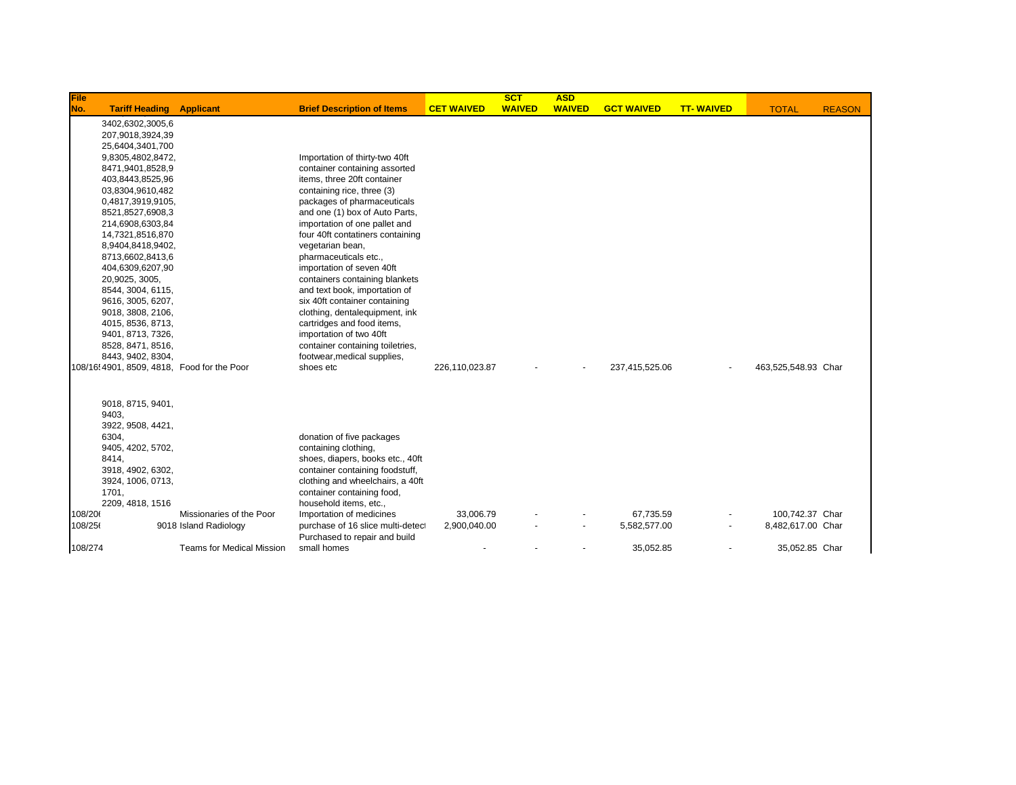| File    |                                            |                           |                                   |                   | <b>SCT</b>    | <b>ASD</b>    |                   |                  |                     |               |
|---------|--------------------------------------------|---------------------------|-----------------------------------|-------------------|---------------|---------------|-------------------|------------------|---------------------|---------------|
| No.     | <b>Tariff Heading</b>                      | <b>Applicant</b>          | <b>Brief Description of Items</b> | <b>CET WAIVED</b> | <b>WAIVED</b> | <b>WAIVED</b> | <b>GCT WAIVED</b> | <b>TT-WAIVED</b> | <b>TOTAL</b>        | <b>REASON</b> |
|         | 3402,6302,3005,6                           |                           |                                   |                   |               |               |                   |                  |                     |               |
|         | 207,9018,3924,39                           |                           |                                   |                   |               |               |                   |                  |                     |               |
|         | 25,6404,3401,700                           |                           |                                   |                   |               |               |                   |                  |                     |               |
|         | 9,8305,4802,8472,                          |                           | Importation of thirty-two 40ft    |                   |               |               |                   |                  |                     |               |
|         | 8471,9401,8528,9                           |                           | container containing assorted     |                   |               |               |                   |                  |                     |               |
|         | 403,8443,8525,96                           |                           | items, three 20ft container       |                   |               |               |                   |                  |                     |               |
|         | 03,8304,9610,482                           |                           | containing rice, three (3)        |                   |               |               |                   |                  |                     |               |
|         | 0,4817,3919,9105,                          |                           | packages of pharmaceuticals       |                   |               |               |                   |                  |                     |               |
|         | 8521,8527,6908,3                           |                           | and one (1) box of Auto Parts,    |                   |               |               |                   |                  |                     |               |
|         | 214,6908,6303,84                           |                           | importation of one pallet and     |                   |               |               |                   |                  |                     |               |
|         | 14,7321,8516,870                           |                           | four 40ft contatiners containing  |                   |               |               |                   |                  |                     |               |
|         | 8,9404,8418,9402,                          |                           | vegetarian bean,                  |                   |               |               |                   |                  |                     |               |
|         | 8713,6602,8413,6                           |                           | pharmaceuticals etc.,             |                   |               |               |                   |                  |                     |               |
|         | 404,6309,6207,90                           |                           | importation of seven 40ft         |                   |               |               |                   |                  |                     |               |
|         | 20,9025, 3005,                             |                           | containers containing blankets    |                   |               |               |                   |                  |                     |               |
|         | 8544, 3004, 6115,                          |                           | and text book, importation of     |                   |               |               |                   |                  |                     |               |
|         | 9616, 3005, 6207,                          |                           | six 40ft container containing     |                   |               |               |                   |                  |                     |               |
|         | 9018, 3808, 2106,                          |                           | clothing, dentalequipment, ink    |                   |               |               |                   |                  |                     |               |
|         | 4015, 8536, 8713,                          |                           | cartridges and food items,        |                   |               |               |                   |                  |                     |               |
|         | 9401, 8713, 7326,                          |                           | importation of two 40ft           |                   |               |               |                   |                  |                     |               |
|         | 8528, 8471, 8516,                          |                           | container containing toiletries,  |                   |               |               |                   |                  |                     |               |
|         | 8443, 9402, 8304,                          |                           | footwear, medical supplies,       |                   |               |               |                   |                  |                     |               |
|         | 108/16 4901, 8509, 4818, Food for the Poor |                           | shoes etc                         | 226,110,023.87    |               |               | 237,415,525.06    |                  | 463,525,548.93 Char |               |
|         |                                            |                           |                                   |                   |               |               |                   |                  |                     |               |
|         | 9018, 8715, 9401,                          |                           |                                   |                   |               |               |                   |                  |                     |               |
|         | 9403,                                      |                           |                                   |                   |               |               |                   |                  |                     |               |
|         | 3922, 9508, 4421,                          |                           |                                   |                   |               |               |                   |                  |                     |               |
|         | 6304,                                      |                           | donation of five packages         |                   |               |               |                   |                  |                     |               |
|         | 9405, 4202, 5702,                          |                           | containing clothing,              |                   |               |               |                   |                  |                     |               |
|         | 8414,                                      |                           | shoes, diapers, books etc., 40ft  |                   |               |               |                   |                  |                     |               |
|         | 3918, 4902, 6302,                          |                           | container containing foodstuff,   |                   |               |               |                   |                  |                     |               |
|         | 3924, 1006, 0713,                          |                           | clothing and wheelchairs, a 40ft  |                   |               |               |                   |                  |                     |               |
|         | 1701,                                      |                           | container containing food,        |                   |               |               |                   |                  |                     |               |
|         | 2209, 4818, 1516                           |                           | household items, etc.,            |                   |               |               |                   |                  |                     |               |
| 108/206 |                                            | Missionaries of the Poor  | Importation of medicines          | 33.006.79         |               |               | 67.735.59         |                  | 100.742.37 Char     |               |
| 108/256 |                                            | 9018 Island Radiology     | purchase of 16 slice multi-detec  | 2,900,040.00      |               |               | 5,582,577.00      |                  | 8,482,617.00 Char   |               |
|         |                                            |                           | Purchased to repair and build     |                   |               |               |                   |                  |                     |               |
| 108/274 |                                            | Teams for Medical Mission | small homes                       |                   |               |               | 35.052.85         |                  | 35,052.85 Char      |               |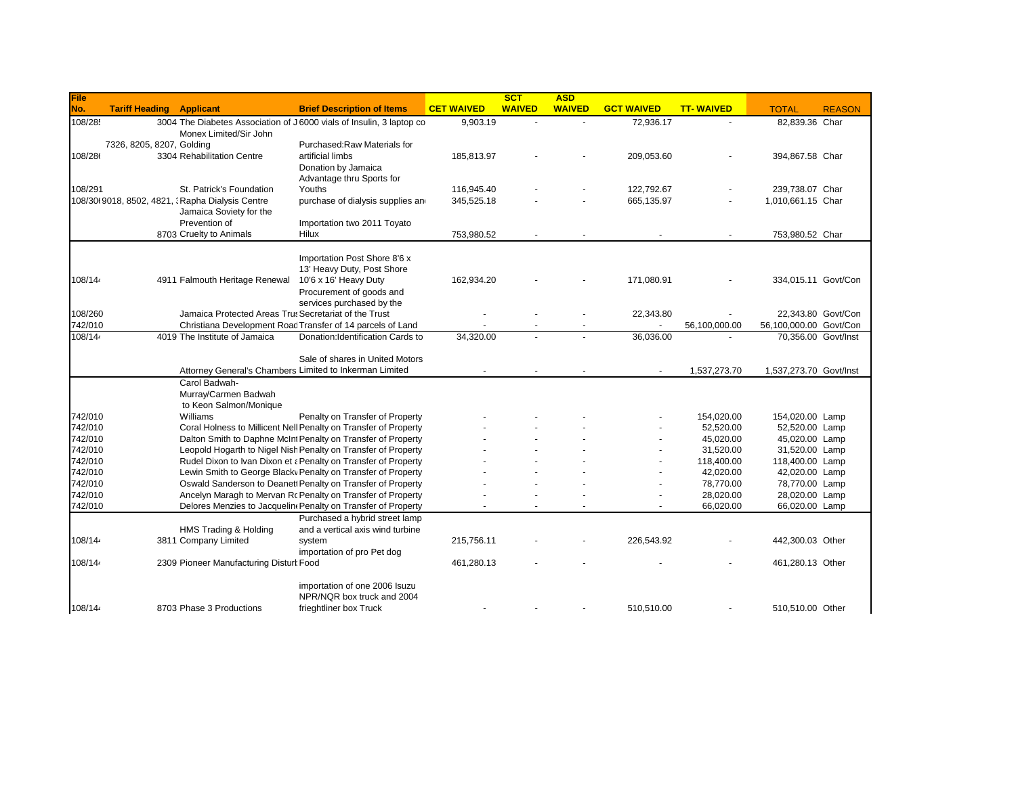| File               |                                                                                                                   |                                                                                                                               | <b>CET WAIVED</b> | SCT<br><b>WAIVED</b> | <b>ASD</b><br><b>WAIVED</b> | <b>GCT WAIVED</b> | <b>TT-WAIVED</b>       |                                                                                                                                                                                                                                                                                                                                                                                                                                                  |               |
|--------------------|-------------------------------------------------------------------------------------------------------------------|-------------------------------------------------------------------------------------------------------------------------------|-------------------|----------------------|-----------------------------|-------------------|------------------------|--------------------------------------------------------------------------------------------------------------------------------------------------------------------------------------------------------------------------------------------------------------------------------------------------------------------------------------------------------------------------------------------------------------------------------------------------|---------------|
| No.<br>108/285     | <b>Tariff Heading</b><br><b>Applicant</b><br>3004 The Diabetes Association of J6000 vials of Insulin, 3 laptop co | <b>Brief Description of Items</b>                                                                                             | 9,903.19          |                      |                             | 72,936.17         |                        |                                                                                                                                                                                                                                                                                                                                                                                                                                                  | <b>REASON</b> |
|                    | Monex Limited/Sir John                                                                                            |                                                                                                                               |                   |                      |                             |                   |                        |                                                                                                                                                                                                                                                                                                                                                                                                                                                  |               |
|                    | 7326, 8205, 8207, Golding                                                                                         | Purchased:Raw Materials for                                                                                                   |                   |                      |                             |                   |                        |                                                                                                                                                                                                                                                                                                                                                                                                                                                  |               |
| 108/286            | 3304 Rehabilitation Centre                                                                                        | artificial limbs                                                                                                              | 185,813.97        |                      |                             | 209,053.60        |                        |                                                                                                                                                                                                                                                                                                                                                                                                                                                  |               |
|                    |                                                                                                                   | Donation by Jamaica                                                                                                           |                   |                      |                             |                   |                        |                                                                                                                                                                                                                                                                                                                                                                                                                                                  |               |
|                    |                                                                                                                   | Advantage thru Sports for                                                                                                     |                   |                      |                             |                   |                        | <b>TOTAL</b><br>82,839.36 Char<br>394,867.58 Char<br>239,738.07 Char<br>1,010,661.15 Char<br>753,980.52 Char<br>334,015.11 Govt/Con<br>22.343.80 Govt/Con<br>56,100,000.00 Govt/Con<br>70,356.00 Govt/Inst<br>1,537,273.70 Govt/Inst<br>154,020.00 Lamp<br>52,520.00 Lamp<br>45,020.00 Lamp<br>31,520.00 Lamp<br>118,400.00 Lamp<br>42,020.00 Lamp<br>78,770.00 Lamp<br>28,020.00 Lamp<br>66,020.00 Lamp<br>442,300.03 Other<br>461,280.13 Other |               |
| 108/291            | St. Patrick's Foundation                                                                                          | Youths                                                                                                                        | 116,945.40        |                      |                             | 122,792.67        |                        |                                                                                                                                                                                                                                                                                                                                                                                                                                                  |               |
|                    | 108/30(9018, 8502, 4821, : Rapha Dialysis Centre                                                                  | purchase of dialysis supplies an                                                                                              | 345,525.18        |                      |                             | 665,135.97        |                        |                                                                                                                                                                                                                                                                                                                                                                                                                                                  |               |
|                    | Jamaica Soviety for the                                                                                           |                                                                                                                               |                   |                      |                             |                   |                        |                                                                                                                                                                                                                                                                                                                                                                                                                                                  |               |
|                    | Prevention of                                                                                                     | Importation two 2011 Toyato                                                                                                   |                   |                      |                             |                   |                        |                                                                                                                                                                                                                                                                                                                                                                                                                                                  |               |
|                    | 8703 Cruelty to Animals                                                                                           | Hilux                                                                                                                         | 753,980.52        |                      |                             |                   |                        |                                                                                                                                                                                                                                                                                                                                                                                                                                                  |               |
|                    |                                                                                                                   |                                                                                                                               |                   |                      |                             |                   |                        |                                                                                                                                                                                                                                                                                                                                                                                                                                                  |               |
|                    |                                                                                                                   | Importation Post Shore 8'6 x                                                                                                  |                   |                      |                             |                   |                        |                                                                                                                                                                                                                                                                                                                                                                                                                                                  |               |
|                    |                                                                                                                   | 13' Heavy Duty, Post Shore                                                                                                    |                   |                      |                             |                   |                        |                                                                                                                                                                                                                                                                                                                                                                                                                                                  |               |
| 108/144            | 4911 Falmouth Heritage Renewal                                                                                    | 10'6 x 16' Heavy Duty                                                                                                         | 162,934.20        |                      |                             | 171,080.91        |                        |                                                                                                                                                                                                                                                                                                                                                                                                                                                  |               |
|                    |                                                                                                                   | Procurement of goods and                                                                                                      |                   |                      |                             |                   |                        |                                                                                                                                                                                                                                                                                                                                                                                                                                                  |               |
|                    |                                                                                                                   | services purchased by the                                                                                                     |                   |                      |                             |                   |                        |                                                                                                                                                                                                                                                                                                                                                                                                                                                  |               |
| 108/260            | Jamaica Protected Areas Trus Secretariat of the Trust                                                             |                                                                                                                               |                   |                      |                             | 22,343.80         |                        |                                                                                                                                                                                                                                                                                                                                                                                                                                                  |               |
| 742/010            |                                                                                                                   | Christiana Development Road Transfer of 14 parcels of Land                                                                    |                   |                      |                             | $\omega$          | 56,100,000.00          |                                                                                                                                                                                                                                                                                                                                                                                                                                                  |               |
| 108/14             | 4019 The Institute of Jamaica                                                                                     | Donation: Identification Cards to                                                                                             | 34,320.00         |                      |                             | 36,036.00         |                        |                                                                                                                                                                                                                                                                                                                                                                                                                                                  |               |
|                    |                                                                                                                   |                                                                                                                               |                   |                      |                             |                   |                        |                                                                                                                                                                                                                                                                                                                                                                                                                                                  |               |
|                    |                                                                                                                   | Sale of shares in United Motors                                                                                               |                   |                      |                             |                   |                        |                                                                                                                                                                                                                                                                                                                                                                                                                                                  |               |
|                    |                                                                                                                   | Attorney General's Chambers Limited to Inkerman Limited                                                                       |                   |                      |                             |                   | 1,537,273.70           |                                                                                                                                                                                                                                                                                                                                                                                                                                                  |               |
|                    | Carol Badwah-                                                                                                     |                                                                                                                               |                   |                      |                             |                   |                        |                                                                                                                                                                                                                                                                                                                                                                                                                                                  |               |
|                    | Murray/Carmen Badwah                                                                                              |                                                                                                                               |                   |                      |                             |                   |                        |                                                                                                                                                                                                                                                                                                                                                                                                                                                  |               |
|                    | to Keon Salmon/Monique                                                                                            |                                                                                                                               |                   |                      |                             |                   |                        |                                                                                                                                                                                                                                                                                                                                                                                                                                                  |               |
| 742/010            | Williams                                                                                                          | Penalty on Transfer of Property                                                                                               |                   |                      |                             |                   | 154.020.00             |                                                                                                                                                                                                                                                                                                                                                                                                                                                  |               |
| 742/010            |                                                                                                                   | Coral Holness to Millicent Nell Penalty on Transfer of Property                                                               |                   |                      |                             |                   | 52,520.00              |                                                                                                                                                                                                                                                                                                                                                                                                                                                  |               |
| 742/010<br>742/010 |                                                                                                                   | Dalton Smith to Daphne McInt Penalty on Transfer of Property<br>Leopold Hogarth to Nigel Nish Penalty on Transfer of Property |                   |                      |                             |                   | 45,020.00<br>31,520.00 |                                                                                                                                                                                                                                                                                                                                                                                                                                                  |               |
| 742/010            |                                                                                                                   | Rudel Dixon to Ivan Dixon et a Penalty on Transfer of Property                                                                |                   |                      |                             |                   | 118,400.00             |                                                                                                                                                                                                                                                                                                                                                                                                                                                  |               |
| 742/010            |                                                                                                                   | Lewin Smith to George Blacky Penalty on Transfer of Property                                                                  |                   |                      |                             |                   | 42.020.00              |                                                                                                                                                                                                                                                                                                                                                                                                                                                  |               |
| 742/010            |                                                                                                                   | Oswald Sanderson to Deanet Penalty on Transfer of Property                                                                    |                   |                      |                             |                   | 78,770.00              |                                                                                                                                                                                                                                                                                                                                                                                                                                                  |               |
| 742/010            |                                                                                                                   | Ancelyn Maragh to Mervan Rc Penalty on Transfer of Property                                                                   |                   |                      |                             |                   | 28,020.00              |                                                                                                                                                                                                                                                                                                                                                                                                                                                  |               |
| 742/010            |                                                                                                                   | Delores Menzies to Jacquelin Penalty on Transfer of Property                                                                  |                   |                      |                             |                   | 66,020.00              |                                                                                                                                                                                                                                                                                                                                                                                                                                                  |               |
|                    |                                                                                                                   | Purchased a hybrid street lamp                                                                                                |                   |                      |                             |                   |                        |                                                                                                                                                                                                                                                                                                                                                                                                                                                  |               |
|                    | HMS Trading & Holding                                                                                             | and a vertical axis wind turbine                                                                                              |                   |                      |                             |                   |                        |                                                                                                                                                                                                                                                                                                                                                                                                                                                  |               |
| 108/14             | 3811 Company Limited                                                                                              | system                                                                                                                        | 215,756.11        |                      |                             | 226,543.92        |                        |                                                                                                                                                                                                                                                                                                                                                                                                                                                  |               |
|                    |                                                                                                                   | importation of pro Pet dog                                                                                                    |                   |                      |                             |                   |                        |                                                                                                                                                                                                                                                                                                                                                                                                                                                  |               |
| 108/14             | 2309 Pioneer Manufacturing Disturt Food                                                                           |                                                                                                                               | 461,280.13        |                      |                             |                   |                        |                                                                                                                                                                                                                                                                                                                                                                                                                                                  |               |
|                    |                                                                                                                   |                                                                                                                               |                   |                      |                             |                   |                        |                                                                                                                                                                                                                                                                                                                                                                                                                                                  |               |
|                    |                                                                                                                   | importation of one 2006 Isuzu                                                                                                 |                   |                      |                             |                   |                        |                                                                                                                                                                                                                                                                                                                                                                                                                                                  |               |
|                    |                                                                                                                   | NPR/NQR box truck and 2004                                                                                                    |                   |                      |                             |                   |                        |                                                                                                                                                                                                                                                                                                                                                                                                                                                  |               |
| 108/144            | 8703 Phase 3 Productions                                                                                          | frieghtliner box Truck                                                                                                        |                   |                      |                             | 510,510.00        |                        | 510.510.00 Other                                                                                                                                                                                                                                                                                                                                                                                                                                 |               |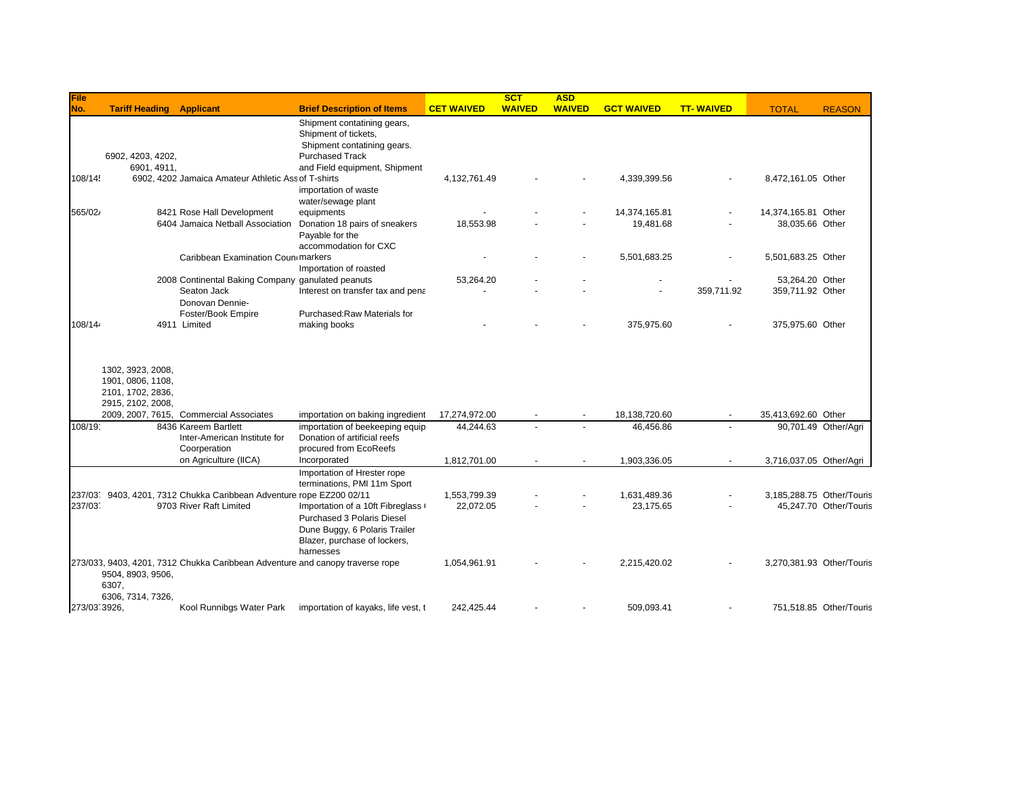| File         |                                                                                  |                                                                               |                                                                                                                 |                   | <b>SCT</b>    | <b>ASD</b>    |                   |                  |                           |                           |
|--------------|----------------------------------------------------------------------------------|-------------------------------------------------------------------------------|-----------------------------------------------------------------------------------------------------------------|-------------------|---------------|---------------|-------------------|------------------|---------------------------|---------------------------|
| No.          | <b>Tariff Heading Applicant</b>                                                  |                                                                               | <b>Brief Description of Items</b>                                                                               | <b>CET WAIVED</b> | <b>WAIVED</b> | <b>WAIVED</b> | <b>GCT WAIVED</b> | <b>TT-WAIVED</b> | <b>TOTAL</b>              | <b>REASON</b>             |
|              |                                                                                  |                                                                               | Shipment contatining gears,                                                                                     |                   |               |               |                   |                  |                           |                           |
|              |                                                                                  |                                                                               | Shipment of tickets,                                                                                            |                   |               |               |                   |                  |                           |                           |
|              |                                                                                  |                                                                               | Shipment contatining gears.                                                                                     |                   |               |               |                   |                  |                           |                           |
|              | 6902, 4203, 4202,                                                                |                                                                               | <b>Purchased Track</b>                                                                                          |                   |               |               |                   |                  |                           |                           |
| 108/14!      | 6901, 4911,                                                                      | 6902, 4202 Jamaica Amateur Athletic Ass of T-shirts                           | and Field equipment, Shipment                                                                                   | 4,132,761.49      |               |               | 4,339,399.56      |                  | 8,472,161.05 Other        |                           |
|              |                                                                                  |                                                                               | importation of waste                                                                                            |                   |               |               |                   |                  |                           |                           |
|              |                                                                                  |                                                                               | water/sewage plant                                                                                              |                   |               |               |                   |                  |                           |                           |
| 565/02/      |                                                                                  | 8421 Rose Hall Development                                                    | equipments                                                                                                      |                   |               |               | 14,374,165.81     |                  | 14,374,165.81 Other       |                           |
|              |                                                                                  | 6404 Jamaica Netball Association                                              | Donation 18 pairs of sneakers                                                                                   | 18,553.98         |               |               | 19,481.68         |                  | 38,035.66 Other           |                           |
|              |                                                                                  |                                                                               | Payable for the                                                                                                 |                   |               |               |                   |                  |                           |                           |
|              |                                                                                  |                                                                               | accommodation for CXC                                                                                           |                   |               |               |                   |                  |                           |                           |
|              |                                                                                  | Caribbean Examination Coun markers                                            |                                                                                                                 |                   |               |               | 5,501,683.25      |                  | 5,501,683.25 Other        |                           |
|              |                                                                                  |                                                                               | Importation of roasted                                                                                          |                   |               |               |                   |                  |                           |                           |
|              |                                                                                  | 2008 Continental Baking Company ganulated peanuts                             |                                                                                                                 | 53,264.20         |               |               |                   |                  | 53.264.20 Other           |                           |
|              |                                                                                  | Seaton Jack                                                                   | Interest on transfer tax and pena                                                                               |                   |               |               |                   | 359,711.92       | 359,711.92 Other          |                           |
|              |                                                                                  | Donovan Dennie-                                                               |                                                                                                                 |                   |               |               |                   |                  |                           |                           |
|              |                                                                                  | Foster/Book Empire                                                            | Purchased: Raw Materials for                                                                                    |                   |               |               |                   |                  |                           |                           |
| 108/14       |                                                                                  | 4911 Limited                                                                  | making books                                                                                                    |                   |               |               | 375,975.60        |                  | 375,975.60 Other          |                           |
|              | 1302, 3923, 2008,<br>1901, 0806, 1108,<br>2101, 1702, 2836,<br>2915, 2102, 2008, |                                                                               |                                                                                                                 |                   |               |               |                   |                  |                           |                           |
|              |                                                                                  | 2009, 2007, 7615, Commercial Associates                                       | importation on baking ingredient                                                                                | 17,274,972.00     |               |               | 18,138,720.60     |                  | 35,413,692.60 Other       |                           |
| 108/19       |                                                                                  | 8436 Kareem Bartlett<br>Inter-American Institute for                          | importation of beekeeping equip<br>Donation of artificial reefs                                                 | 44,244.63         |               |               | 46,456.86         |                  |                           | 90,701.49 Other/Agri      |
|              |                                                                                  | Coorperation                                                                  | procured from EcoReefs                                                                                          |                   |               |               |                   |                  |                           |                           |
|              |                                                                                  | on Agriculture (IICA)                                                         | Incorporated                                                                                                    | 1,812,701.00      |               |               | 1,903,336.05      |                  | 3,716,037.05 Other/Agri   |                           |
|              |                                                                                  |                                                                               | Importation of Hrester rope<br>terminations, PMI 11m Sport                                                      |                   |               |               |                   |                  |                           |                           |
|              |                                                                                  | 237/03. 9403, 4201, 7312 Chukka Caribbean Adventure rope EZ200 02/11          |                                                                                                                 | 1,553,799.39      |               |               | 1,631,489.36      |                  | 3.185.288.75 Other/Touris |                           |
| 237/037      |                                                                                  | 9703 River Raft Limited                                                       | Importation of a 10ft Fibreglass                                                                                | 22,072.05         |               |               | 23,175.65         |                  |                           | 45,247.70 Other/Touris    |
|              |                                                                                  |                                                                               | <b>Purchased 3 Polaris Diesel</b><br>Dune Buggy, 6 Polaris Trailer<br>Blazer, purchase of lockers,<br>harnesses |                   |               |               |                   |                  |                           |                           |
|              | 9504, 8903, 9506,<br>6307,<br>6306, 7314, 7326,                                  | 273/033, 9403, 4201, 7312 Chukka Caribbean Adventure and canopy traverse rope |                                                                                                                 | 1,054,961.91      |               |               | 2.215.420.02      |                  |                           | 3,270,381.93 Other/Touris |
| 273/03 3926, |                                                                                  | Kool Runnibgs Water Park                                                      | importation of kayaks, life vest, t                                                                             | 242,425.44        |               |               | 509,093.41        |                  |                           | 751,518.85 Other/Touris   |